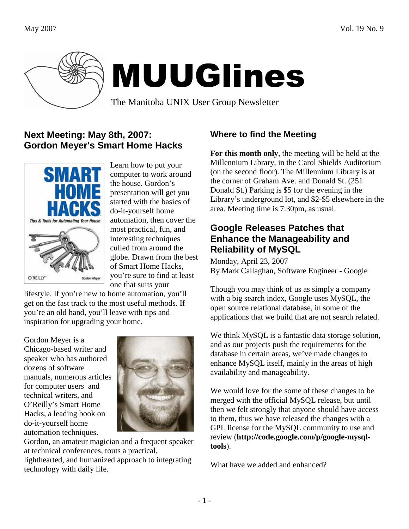

# MUUGlines

The Manitoba UNIX User Group Newsletter

### **Next Meeting: May 8th, 2007: Gordon Meyer's Smart Home Hacks**



Learn how to put your computer to work around the house. Gordon's presentation will get you started with the basics of do-it-yourself home automation, then cover the most practical, fun, and interesting techniques culled from around the globe. Drawn from the best of Smart Home Hacks, you're sure to find at least one that suits your

lifestyle. If you're new to home automation, you'll get on the fast track to the most useful methods. If you're an old hand, you'll leave with tips and inspiration for upgrading your home.

Gordon Meyer is a Chicago-based writer and speaker who has authored dozens of software manuals, numerous articles for computer users and technical writers, and O'Reilly's Smart Home Hacks, a leading book on do-it-yourself home automation techniques.



Gordon, an amateur magician and a frequent speaker at technical conferences, touts a practical,

lighthearted, and humanized approach to integrating technology with daily life.

# **Where to find the Meeting**

**For this month only**, the meeting will be held at the Millennium Library, in the Carol Shields Auditorium (on the second floor). The Millennium Library is at the corner of Graham Ave. and Donald St. (251 Donald St.) Parking is \$5 for the evening in the Library's underground lot, and \$2-\$5 elsewhere in the area. Meeting time is 7:30pm, as usual.

#### **Google Releases Patches that Enhance the Manageability and Reliability of MySQL**

Monday, April 23, 2007 By Mark Callaghan, Software Engineer - Google

Though you may think of us as simply a company with a big search index, Google uses MySQL, the open source relational database, in some of the applications that we build that are not search related.

We think MySQL is a fantastic data storage solution, and as our projects push the requirements for the database in certain areas, we've made changes to enhance MySQL itself, mainly in the areas of high availability and manageability.

We would love for the some of these changes to be merged with the official MySQL release, but until then we felt strongly that anyone should have access to them, thus we have released the changes with a GPL license for the MySQL community to use and review (**http://code.google.com/p/google-mysqltools**).

What have we added and enhanced?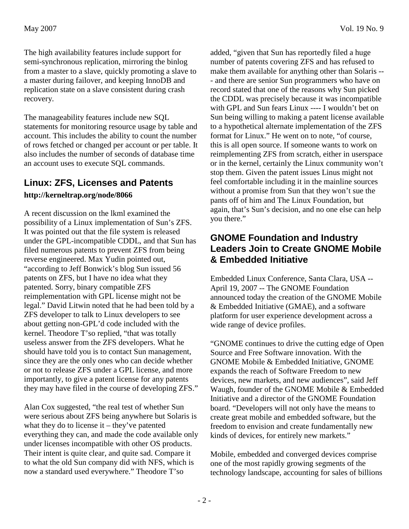The high availability features include support for semi-synchronous replication, mirroring the binlog from a master to a slave, quickly promoting a slave to a master during failover, and keeping InnoDB and replication state on a slave consistent during crash recovery.

The manageability features include new SQL statements for monitoring resource usage by table and account. This includes the ability to count the number of rows fetched or changed per account or per table. It also includes the number of seconds of database time an account uses to execute SQL commands.

# **Linux: ZFS, Licenses and Patents**

#### **http://kerneltrap.org/node/8066**

A recent discussion on the lkml examined the possibility of a Linux implementation of Sun's ZFS. It was pointed out that the file system is released under the GPL-incompatible CDDL, and that Sun has filed numerous patents to prevent ZFS from being reverse engineered. Max Yudin pointed out, "according to Jeff Bonwick's blog Sun issued 56 patents on ZFS, but I have no idea what they patented. Sorry, binary compatible ZFS reimplementation with GPL license might not be legal." David Litwin noted that he had been told by a ZFS developer to talk to Linux developers to see about getting non-GPL'd code included with the kernel. Theodore T'so replied, "that was totally useless answer from the ZFS developers. What he should have told you is to contact Sun management, since they are the only ones who can decide whether or not to release ZFS under a GPL license, and more importantly, to give a patent license for any patents they may have filed in the course of developing ZFS."

Alan Cox suggested, "the real test of whether Sun were serious about ZFS being anywhere but Solaris is what they do to license it – they've patented everything they can, and made the code available only under licenses incompatible with other OS products. Their intent is quite clear, and quite sad. Compare it to what the old Sun company did with NFS, which is now a standard used everywhere." Theodore T'so

added, "given that Sun has reportedly filed a huge number of patents covering ZFS and has refused to make them available for anything other than Solaris -- - and there are senior Sun programmers who have on record stated that one of the reasons why Sun picked the CDDL was precisely because it was incompatible with GPL and Sun fears Linux ---- I wouldn't bet on Sun being willing to making a patent license available to a hypothetical alternate implementation of the ZFS format for Linux." He went on to note, "of course, this is all open source. If someone wants to work on reimplementing ZFS from scratch, either in userspace or in the kernel, certainly the Linux community won't stop them. Given the patent issues Linus might not feel comfortable including it in the mainline sources without a promise from Sun that they won't sue the pants off of him and The Linux Foundation, but again, that's Sun's decision, and no one else can help you there."

#### **GNOME Foundation and Industry Leaders Join to Create GNOME Mobile & Embedded Initiative**

Embedded Linux Conference, Santa Clara, USA -- April 19, 2007 -- The GNOME Foundation announced today the creation of the GNOME Mobile & Embedded Initiative (GMAE), and a software platform for user experience development across a wide range of device profiles.

"GNOME continues to drive the cutting edge of Open Source and Free Software innovation. With the GNOME Mobile & Embedded Initiative, GNOME expands the reach of Software Freedom to new devices, new markets, and new audiences", said Jeff Waugh, founder of the GNOME Mobile & Embedded Initiative and a director of the GNOME Foundation board. "Developers will not only have the means to create great mobile and embedded software, but the freedom to envision and create fundamentally new kinds of devices, for entirely new markets."

Mobile, embedded and converged devices comprise one of the most rapidly growing segments of the technology landscape, accounting for sales of billions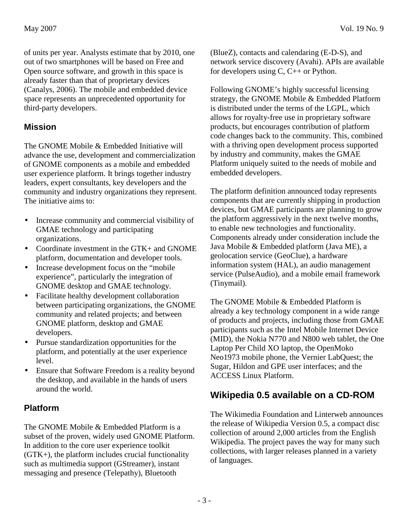of units per year. Analysts estimate that by 2010, one out of two smartphones will be based on Free and Open source software, and growth in this space is already faster than that of proprietary devices (Canalys, 2006). The mobile and embedded device space represents an unprecedented opportunity for third-party developers.

#### **Mission**

The GNOME Mobile & Embedded Initiative will advance the use, development and commercialization of GNOME components as a mobile and embedded user experience platform. It brings together industry leaders, expert consultants, key developers and the community and industry organizations they represent. The initiative aims to:

- Increase community and commercial visibility of GMAE technology and participating organizations.
- Coordinate investment in the GTK+ and GNOME platform, documentation and developer tools.
- Increase development focus on the "mobile experience", particularly the integration of GNOME desktop and GMAE technology.
- Facilitate healthy development collaboration between participating organizations, the GNOME community and related projects; and between GNOME platform, desktop and GMAE developers.
- Pursue standardization opportunities for the platform, and potentially at the user experience level.
- Ensure that Software Freedom is a reality beyond the desktop, and available in the hands of users around the world.

# **Platform**

The GNOME Mobile & Embedded Platform is a subset of the proven, widely used GNOME Platform. In addition to the core user experience toolkit (GTK+), the platform includes crucial functionality such as multimedia support (GStreamer), instant messaging and presence (Telepathy), Bluetooth

(BlueZ), contacts and calendaring (E-D-S), and network service discovery (Avahi). APIs are available for developers using C, C++ or Python.

Following GNOME's highly successful licensing strategy, the GNOME Mobile & Embedded Platform is distributed under the terms of the LGPL, which allows for royalty-free use in proprietary software products, but encourages contribution of platform code changes back to the community. This, combined with a thriving open development process supported by industry and community, makes the GMAE Platform uniquely suited to the needs of mobile and embedded developers.

The platform definition announced today represents components that are currently shipping in production devices, but GMAE participants are planning to grow the platform aggressively in the next twelve months, to enable new technologies and functionality. Components already under consideration include the Java Mobile & Embedded platform (Java ME), a geolocation service (GeoClue), a hardware information system (HAL), an audio management service (PulseAudio), and a mobile email framework (Tinymail).

The GNOME Mobile & Embedded Platform is already a key technology component in a wide range of products and projects, including those from GMAE participants such as the Intel Mobile Internet Device (MID), the Nokia N770 and N800 web tablet, the One Laptop Per Child XO laptop, the OpenMoko Neo1973 mobile phone, the Vernier LabQuest; the Sugar, Hildon and GPE user interfaces; and the ACCESS Linux Platform.

# **Wikipedia 0.5 available on a CD-ROM**

The Wikimedia Foundation and Linterweb announces the release of Wikipedia Version 0.5, a compact disc collection of around 2,000 articles from the English Wikipedia. The project paves the way for many such collections, with larger releases planned in a variety of languages.